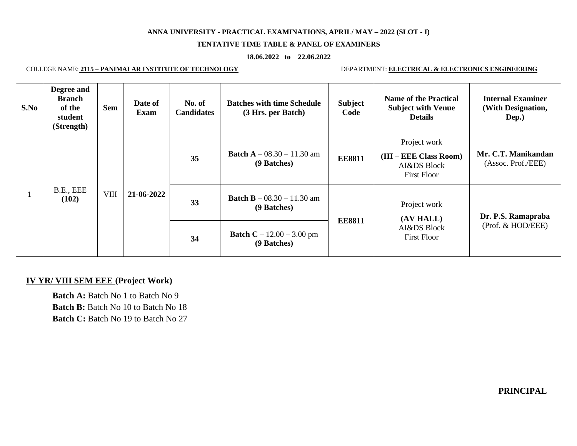## **ANNA UNIVERSITY - PRACTICAL EXAMINATIONS, APRIL/ MAY – 2022 (SLOT - I)**

## **TENTATIVE TIME TABLE & PANEL OF EXAMINERS**

## **18.06.2022 to 22.06.2022**

## COLLEGE NAME: **2115 – PANIMALAR INSTITUTE OF TECHNOLOGY** DEPARTMENT: **ELECTRICAL & ELECTRONICS ENGINEERING**

|  | S.No | Degree and<br><b>Branch</b><br>of the<br>student<br>(Strength) | <b>Sem</b>  | Date of<br><b>Exam</b> | No. of<br><b>Candidates</b> | <b>Batches with time Schedule</b><br>(3 Hrs. per Batch) | <b>Subject</b><br>Code | <b>Name of the Practical</b><br><b>Subject with Venue</b><br><b>Details</b>   | <b>Internal Examiner</b><br>(With Designation,<br>Dep.) |
|--|------|----------------------------------------------------------------|-------------|------------------------|-----------------------------|---------------------------------------------------------|------------------------|-------------------------------------------------------------------------------|---------------------------------------------------------|
|  |      | B.E., EEE<br>(102)                                             | <b>VIII</b> | 21-06-2022             | 35                          | <b>Batch A</b> $- 08.30 - 11.30$ am<br>(9 Batches)      | <b>EE8811</b>          | Project work<br>$(III - EEE Class Room)$<br>AI&DS Block<br><b>First Floor</b> | Mr. C.T. Manikandan<br>(Assoc. Prof./EEE)               |
|  |      |                                                                |             |                        | 33                          | <b>Batch B</b> $- 08.30 - 11.30$ am<br>(9 Batches)      | <b>EE8811</b>          | Project work<br>(AV HALL)<br>AI&DS Block<br><b>First Floor</b>                | Dr. P.S. Ramapraba<br>(Prof. & HOD/EEE)                 |
|  |      |                                                                |             |                        | 34                          | <b>Batch C</b> – $12.00 - 3.00$ pm<br>(9 Batches)       |                        |                                                                               |                                                         |

# **IV YR/ VIII SEM EEE (Project Work)**

**Batch A:** Batch No 1 to Batch No 9 **Batch B:** Batch No 10 to Batch No 18 **Batch C:** Batch No 19 to Batch No 27

**PRINCIPAL**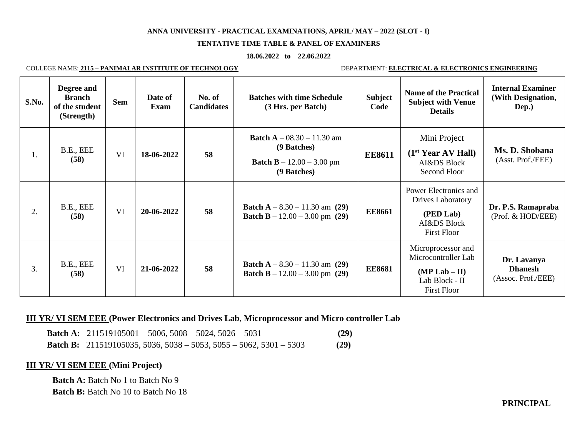## **ANNA UNIVERSITY - PRACTICAL EXAMINATIONS, APRIL/ MAY – 2022 (SLOT - I)**

#### **TENTATIVE TIME TABLE & PANEL OF EXAMINERS**

#### **18.06.2022 to 22.06.2022**

COLLEGE NAME: **2115 – PANIMALAR INSTITUTE OF TECHNOLOGY** DEPARTMENT: **ELECTRICAL & ELECTRONICS ENGINEERING**

| S.No. | Degree and<br><b>Branch</b><br>of the student<br>(Strength) | <b>Sem</b> | Date of<br>Exam | No. of<br><b>Candidates</b> | <b>Batches with time Schedule</b><br>(3 Hrs. per Batch)                                                 | <b>Subject</b><br>Code | <b>Name of the Practical</b><br><b>Subject with Venue</b><br><b>Details</b>                          | <b>Internal Examiner</b><br>(With Designation,<br>Dep.) |
|-------|-------------------------------------------------------------|------------|-----------------|-----------------------------|---------------------------------------------------------------------------------------------------------|------------------------|------------------------------------------------------------------------------------------------------|---------------------------------------------------------|
| 1.    | B.E., EEE<br>(58)                                           | <b>VI</b>  | 18-06-2022      | 58                          | <b>Batch A</b> $- 08.30 - 11.30$ am<br>(9 Batches)<br><b>Batch B</b> $- 12.00 - 3.00$ pm<br>(9 Batches) | <b>EE8611</b>          | Mini Project<br>(1 <sup>st</sup> Year AV Hall)<br>AI&DS Block<br>Second Floor                        | Ms. D. Shobana<br>(Asst. Prof./EEE)                     |
| 2.    | B.E., EEE<br>(58)                                           | VI         | 20-06-2022      | 58                          | <b>Batch</b> $A - 8.30 - 11.30$ am (29)<br><b>Batch B</b> $- 12.00 - 3.00$ pm (29)                      | <b>EE8661</b>          | Power Electronics and<br><b>Drives Laboratory</b><br>(PED Lab)<br>AI&DS Block<br><b>First Floor</b>  | Dr. P.S. Ramapraba<br>(Prof. & HOD/EEE)                 |
| 3.    | B.E., EEE<br>(58)                                           | <b>VI</b>  | 21-06-2022      | 58                          | <b>Batch A</b> $- 8.30 - 11.30$ am (29)<br><b>Batch B</b> $- 12.00 - 3.00$ pm (29)                      | <b>EE8681</b>          | Microprocessor and<br>Microcontroller Lab<br>$(MP Lab - II)$<br>Lab Block - II<br><b>First Floor</b> | Dr. Lavanya<br><b>Dhanesh</b><br>(Assoc. Prof./EEE)     |

## **III YR/ VI SEM EEE (Power Electronics and Drives Lab**, **Microprocessor and Micro controller Lab**

**Batch A:** 211519105001 – 5006, 5008 – 5024, 5026 – 5031 **(29) Batch B:** 211519105035, 5036, 5038 – 5053, 5055 – 5062, 5301 – 5303 **(29)**

## **III YR/ VI SEM EEE (Mini Project)**

**Batch A:** Batch No 1 to Batch No 9 **Batch B:** Batch No 10 to Batch No 18